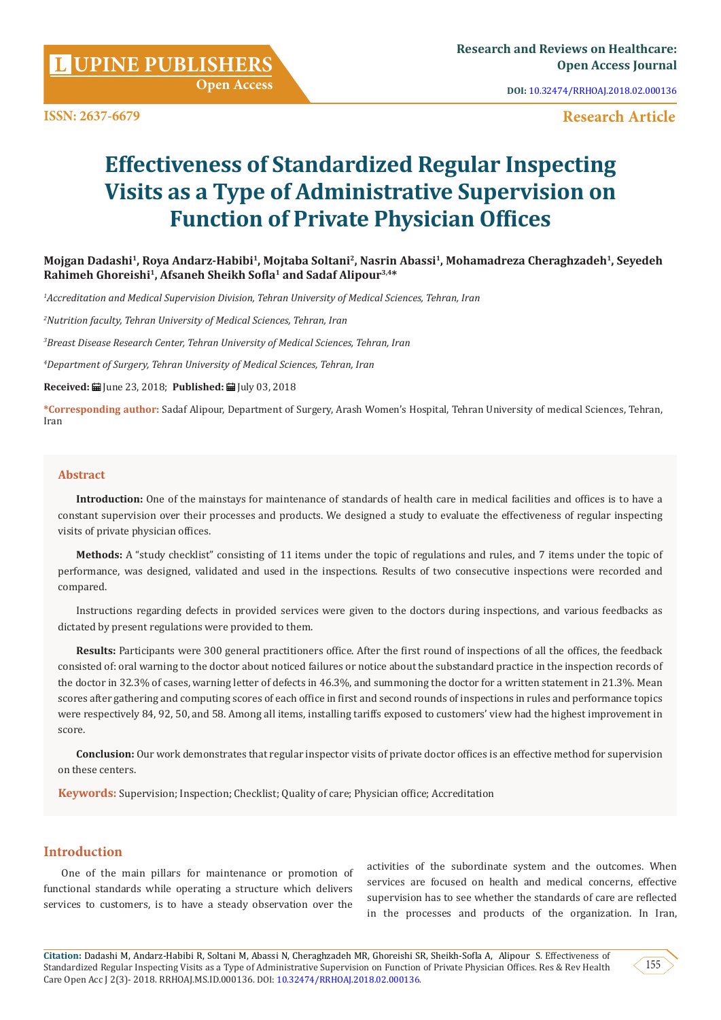**L**

**ISSN: 2637-6679**

**DOI:** [10.32474/RRHOAJ.2018.02.000136](http://dx.doi.org/10.32474/RRHOAJ.2018.02.000136)

 **Research Article**

# **Effectiveness of Standardized Regular Inspecting Visits as a Type of Administrative Supervision on Function of Private Physician Offices**

**Mojgan Dadashi1, Roya Andarz-Habibi1, Mojtaba Soltani2, Nasrin Abassi1, Mohamadreza Cheraghzadeh1, Seyedeh Rahimeh Ghoreishi1, Afsaneh Sheikh Sofla1 and Sadaf Alipour3,4\***

*1 Accreditation and Medical Supervision Division, Tehran University of Medical Sciences, Tehran, Iran*

*2 Nutrition faculty, Tehran University of Medical Sciences, Tehran, Iran*

*3 Breast Disease Research Center, Tehran University of Medical Sciences, Tehran, Iran*

*4 Department of Surgery, Tehran University of Medical Sciences, Tehran, Iran*

**Received:** June 23, 2018; **Published:** July 03, 2018

**\*Corresponding author:** Sadaf Alipour, Department of Surgery, Arash Women's Hospital, Tehran University of medical Sciences, Tehran, Iran

#### **Abstract**

**Introduction:** One of the mainstays for maintenance of standards of health care in medical facilities and offices is to have a constant supervision over their processes and products. We designed a study to evaluate the effectiveness of regular inspecting visits of private physician offices.

**Methods:** A "study checklist" consisting of 11 items under the topic of regulations and rules, and 7 items under the topic of performance, was designed, validated and used in the inspections. Results of two consecutive inspections were recorded and compared.

Instructions regarding defects in provided services were given to the doctors during inspections, and various feedbacks as dictated by present regulations were provided to them.

**Results:** Participants were 300 general practitioners office. After the first round of inspections of all the offices, the feedback consisted of: oral warning to the doctor about noticed failures or notice about the substandard practice in the inspection records of the doctor in 32.3% of cases, warning letter of defects in 46.3%, and summoning the doctor for a written statement in 21.3%. Mean scores after gathering and computing scores of each office in first and second rounds of inspections in rules and performance topics were respectively 84, 92, 50, and 58. Among all items, installing tariffs exposed to customers' view had the highest improvement in score.

**Conclusion:** Our work demonstrates that regular inspector visits of private doctor offices is an effective method for supervision on these centers.

**Keywords:** Supervision; Inspection; Checklist; Quality of care; Physician office; Accreditation

# **Introduction**

One of the main pillars for maintenance or promotion of functional standards while operating a structure which delivers services to customers, is to have a steady observation over the

activities of the subordinate system and the outcomes. When services are focused on health and medical concerns, effective supervision has to see whether the standards of care are reflected in the processes and products of the organization. In Iran,

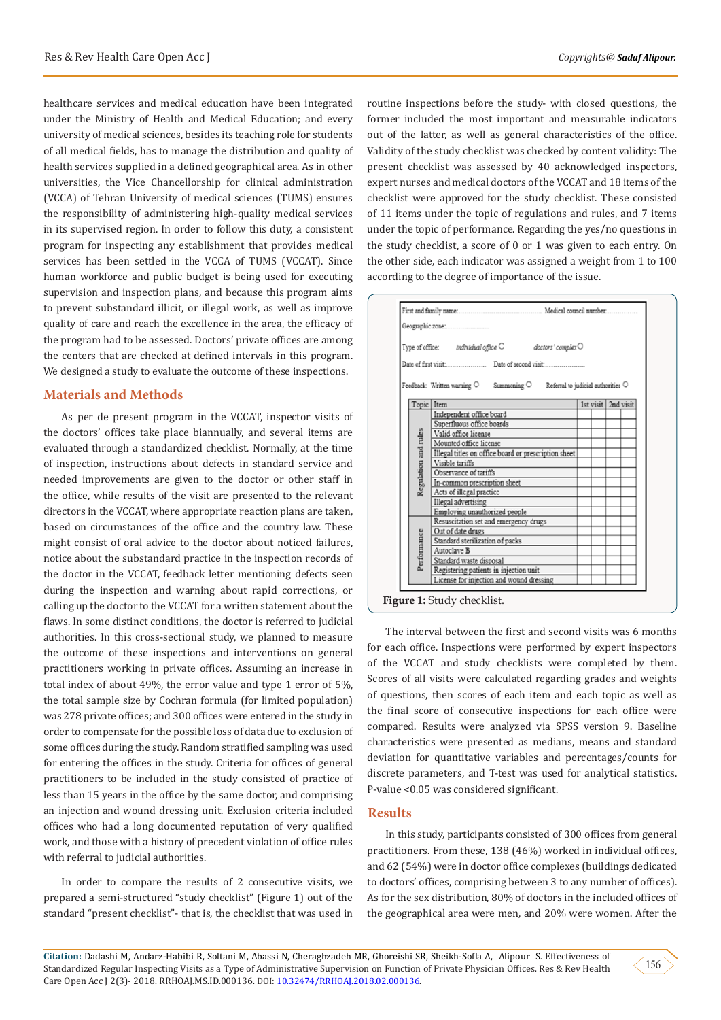healthcare services and medical education have been integrated under the Ministry of Health and Medical Education; and every university of medical sciences, besides its teaching role for students of all medical fields, has to manage the distribution and quality of health services supplied in a defined geographical area. As in other universities, the Vice Chancellorship for clinical administration (VCCA) of Tehran University of medical sciences (TUMS) ensures the responsibility of administering high-quality medical services in its supervised region. In order to follow this duty, a consistent program for inspecting any establishment that provides medical services has been settled in the VCCA of TUMS (VCCAT). Since human workforce and public budget is being used for executing supervision and inspection plans, and because this program aims to prevent substandard illicit, or illegal work, as well as improve quality of care and reach the excellence in the area, the efficacy of the program had to be assessed. Doctors' private offices are among the centers that are checked at defined intervals in this program. We designed a study to evaluate the outcome of these inspections.

#### **Materials and Methods**

As per de present program in the VCCAT, inspector visits of the doctors' offices take place biannually, and several items are evaluated through a standardized checklist. Normally, at the time of inspection, instructions about defects in standard service and needed improvements are given to the doctor or other staff in the office, while results of the visit are presented to the relevant directors in the VCCAT, where appropriate reaction plans are taken, based on circumstances of the office and the country law. These might consist of oral advice to the doctor about noticed failures, notice about the substandard practice in the inspection records of the doctor in the VCCAT, feedback letter mentioning defects seen during the inspection and warning about rapid corrections, or calling up the doctor to the VCCAT for a written statement about the flaws. In some distinct conditions, the doctor is referred to judicial authorities. In this cross-sectional study, we planned to measure the outcome of these inspections and interventions on general practitioners working in private offices. Assuming an increase in total index of about 49%, the error value and type 1 error of 5%, the total sample size by Cochran formula (for limited population) was 278 private offices; and 300 offices were entered in the study in order to compensate for the possible loss of data due to exclusion of some offices during the study. Random stratified sampling was used for entering the offices in the study. Criteria for offices of general practitioners to be included in the study consisted of practice of less than 15 years in the office by the same doctor, and comprising an injection and wound dressing unit. Exclusion criteria included offices who had a long documented reputation of very qualified work, and those with a history of precedent violation of office rules with referral to judicial authorities.

In order to compare the results of 2 consecutive visits, we prepared a semi-structured "study checklist" (Figure 1) out of the standard "present checklist"- that is, the checklist that was used in

routine inspections before the study- with closed questions, the former included the most important and measurable indicators out of the latter, as well as general characteristics of the office. Validity of the study checklist was checked by content validity: The present checklist was assessed by 40 acknowledged inspectors, expert nurses and medical doctors of the VCCAT and 18 items of the checklist were approved for the study checklist. These consisted of 11 items under the topic of regulations and rules, and 7 items under the topic of performance. Regarding the yes/no questions in the study checklist, a score of 0 or 1 was given to each entry. On the other side, each indicator was assigned a weight from 1 to 100 according to the degree of importance of the issue.

|                      | Type of office: <i>individual office</i> $\bigcirc$ <i>doctors' complex</i> $\bigcirc$                |                     |
|----------------------|-------------------------------------------------------------------------------------------------------|---------------------|
|                      |                                                                                                       |                     |
|                      |                                                                                                       |                     |
|                      | Feedback: Written warning $\bigcirc$ Summoning $\bigcirc$ Referral to judicial authorities $\bigcirc$ |                     |
|                      | Topic Item                                                                                            | 1st visit 2nd visit |
|                      | Independent office board                                                                              |                     |
|                      | Superfluous office boards                                                                             |                     |
|                      | Valid office license                                                                                  |                     |
|                      | Mounted office license                                                                                |                     |
|                      | Illegal titles on office board or prescription sheet                                                  |                     |
|                      | Visible tariffs                                                                                       |                     |
|                      | Observance of tariffs                                                                                 |                     |
| Regulation and rules | In-common prescription sheet                                                                          |                     |
|                      | Acts of illegal practice                                                                              |                     |
|                      | Illegal advertising                                                                                   |                     |
|                      | Employing unauthorized people                                                                         |                     |
|                      | Resuscitation set and emergency drugs                                                                 |                     |
|                      | Out of date drugs                                                                                     |                     |
|                      | Standard sterilization of packs                                                                       |                     |
| Performance          | Autoclaye B                                                                                           |                     |
|                      | Standard waste disposal                                                                               |                     |
|                      | Registering patients in injection unit<br>License for injection and wound dressing                    |                     |
|                      |                                                                                                       |                     |

The interval between the first and second visits was 6 months for each office. Inspections were performed by expert inspectors of the VCCAT and study checklists were completed by them. Scores of all visits were calculated regarding grades and weights of questions, then scores of each item and each topic as well as the final score of consecutive inspections for each office were compared. Results were analyzed via SPSS version 9. Baseline characteristics were presented as medians, means and standard deviation for quantitative variables and percentages/counts for discrete parameters, and T-test was used for analytical statistics. P-value <0.05 was considered significant.

### **Results**

In this study, participants consisted of 300 offices from general practitioners. From these, 138 (46%) worked in individual offices, and 62 (54%) were in doctor office complexes (buildings dedicated to doctors' offices, comprising between 3 to any number of offices). As for the sex distribution, 80% of doctors in the included offices of the geographical area were men, and 20% were women. After the

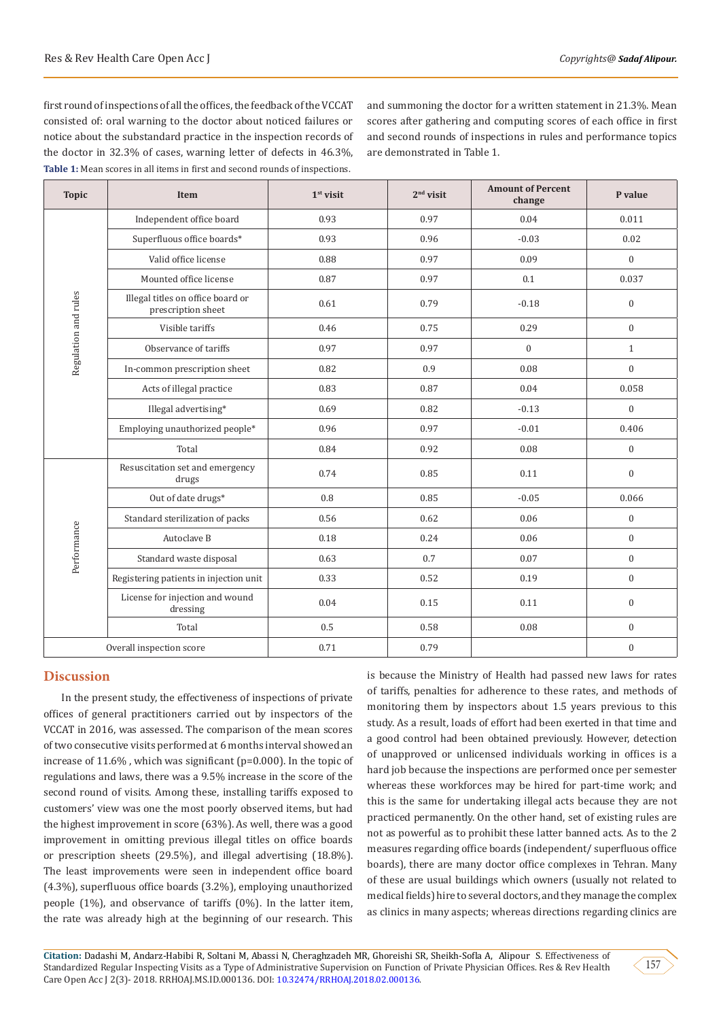first round of inspections of all the offices, the feedback of the VCCAT consisted of: oral warning to the doctor about noticed failures or notice about the substandard practice in the inspection records of the doctor in 32.3% of cases, warning letter of defects in 46.3%, **Table 1:** Mean scores in all items in first and second rounds of inspections.

and summoning the doctor for a written statement in 21.3%. Mean scores after gathering and computing scores of each office in first and second rounds of inspections in rules and performance topics are demonstrated in Table 1.

| <b>Topic</b>             | Item                                                    | $1st$ visit | $2nd$ visit | <b>Amount of Percent</b><br>change | P value          |
|--------------------------|---------------------------------------------------------|-------------|-------------|------------------------------------|------------------|
| Regulation and rules     | Independent office board                                | 0.93        | 0.97        | 0.04                               | 0.011            |
|                          | Superfluous office boards*                              | 0.93        | 0.96        | $-0.03$                            | 0.02             |
|                          | Valid office license                                    | 0.88        | 0.97        | 0.09                               | $\mathbf{0}$     |
|                          | Mounted office license                                  | 0.87        | 0.97        | 0.1                                | 0.037            |
|                          | Illegal titles on office board or<br>prescription sheet | 0.61        | 0.79        | $-0.18$                            | $\overline{0}$   |
|                          | Visible tariffs                                         | 0.46        | 0.75        | 0.29                               | $\mathbf{0}$     |
|                          | Observance of tariffs                                   | 0.97        | 0.97        | $\mathbf{0}$                       | $\mathbf{1}$     |
|                          | In-common prescription sheet                            | 0.82        | 0.9         | 0.08                               | $\mathbf{0}$     |
|                          | Acts of illegal practice                                | 0.83        | 0.87        | 0.04                               | 0.058            |
|                          | Illegal advertising*                                    | 0.69        | 0.82        | $-0.13$                            | $\overline{0}$   |
|                          | Employing unauthorized people*                          | 0.96        | 0.97        | $-0.01$                            | 0.406            |
|                          | Total                                                   | 0.84        | 0.92        | 0.08                               | $\mathbf{0}$     |
| Performance              | Resuscitation set and emergency<br>drugs                | 0.74        | 0.85        | 0.11                               | $\overline{0}$   |
|                          | Out of date drugs*                                      | 0.8         | 0.85        | $-0.05$                            | 0.066            |
|                          | Standard sterilization of packs                         | 0.56        | 0.62        | 0.06                               | $\overline{0}$   |
|                          | Autoclave B                                             | 0.18        | 0.24        | 0.06                               | $\boldsymbol{0}$ |
|                          | Standard waste disposal                                 | 0.63        | 0.7         | 0.07                               | $\mathbf{0}$     |
|                          | Registering patients in injection unit                  | 0.33        | 0.52        | 0.19                               | $\mathbf{0}$     |
|                          | License for injection and wound<br>dressing             | 0.04        | 0.15        | 0.11                               | $\mathbf{0}$     |
|                          | Total                                                   | 0.5         | 0.58        | 0.08                               | $\mathbf{0}$     |
| Overall inspection score |                                                         | 0.71        | 0.79        |                                    | $\boldsymbol{0}$ |

# **Discussion**

In the present study, the effectiveness of inspections of private offices of general practitioners carried out by inspectors of the VCCAT in 2016, was assessed. The comparison of the mean scores of two consecutive visits performed at 6 months interval showed an increase of 11.6% , which was significant (p=0.000). In the topic of regulations and laws, there was a 9.5% increase in the score of the second round of visits. Among these, installing tariffs exposed to customers' view was one the most poorly observed items, but had the highest improvement in score (63%). As well, there was a good improvement in omitting previous illegal titles on office boards or prescription sheets (29.5%), and illegal advertising (18.8%). The least improvements were seen in independent office board (4.3%), superfluous office boards (3.2%), employing unauthorized people (1%), and observance of tariffs (0%). In the latter item, the rate was already high at the beginning of our research. This

is because the Ministry of Health had passed new laws for rates of tariffs, penalties for adherence to these rates, and methods of monitoring them by inspectors about 1.5 years previous to this study. As a result, loads of effort had been exerted in that time and a good control had been obtained previously. However, detection of unapproved or unlicensed individuals working in offices is a hard job because the inspections are performed once per semester whereas these workforces may be hired for part-time work; and this is the same for undertaking illegal acts because they are not practiced permanently. On the other hand, set of existing rules are not as powerful as to prohibit these latter banned acts. As to the 2 measures regarding office boards (independent/ superfluous office boards), there are many doctor office complexes in Tehran. Many of these are usual buildings which owners (usually not related to medical fields) hire to several doctors, and they manage the complex as clinics in many aspects; whereas directions regarding clinics are

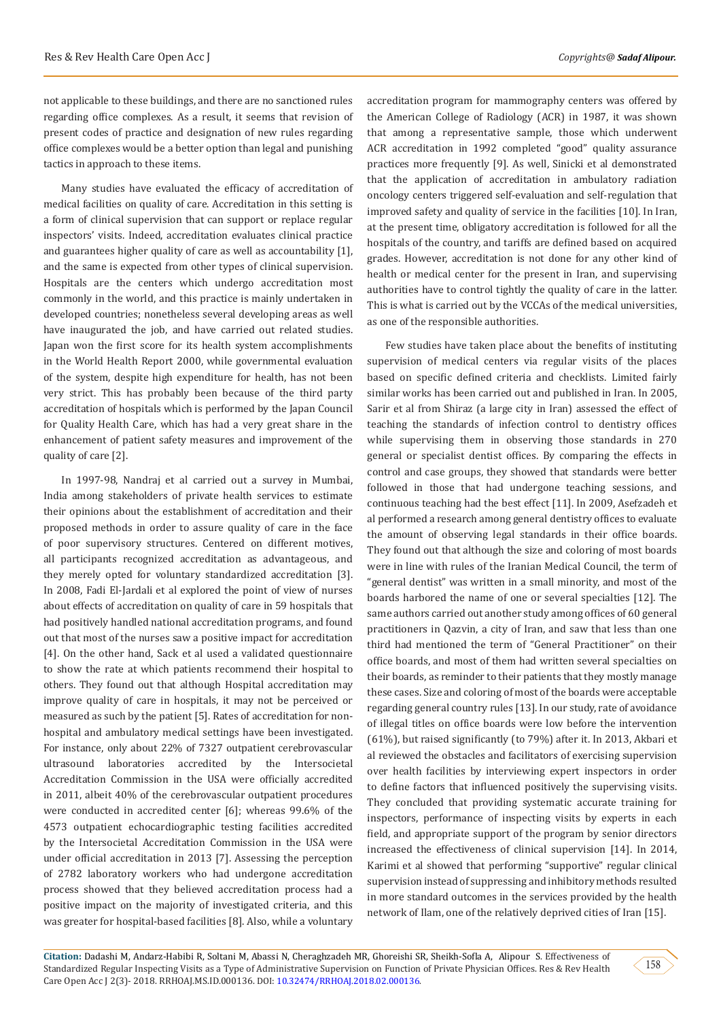not applicable to these buildings, and there are no sanctioned rules regarding office complexes. As a result, it seems that revision of present codes of practice and designation of new rules regarding office complexes would be a better option than legal and punishing tactics in approach to these items.

Many studies have evaluated the efficacy of accreditation of medical facilities on quality of care. Accreditation in this setting is a form of clinical supervision that can support or replace regular inspectors' visits. Indeed, accreditation evaluates clinical practice and guarantees higher quality of care as well as accountability [1], and the same is expected from other types of clinical supervision. Hospitals are the centers which undergo accreditation most commonly in the world, and this practice is mainly undertaken in developed countries; nonetheless several developing areas as well have inaugurated the job, and have carried out related studies. Japan won the first score for its health system accomplishments in the World Health Report 2000, while governmental evaluation of the system, despite high expenditure for health, has not been very strict. This has probably been because of the third party accreditation of hospitals which is performed by the Japan Council for Quality Health Care, which has had a very great share in the enhancement of patient safety measures and improvement of the quality of care [2].

In 1997-98, Nandraj et al carried out a survey in Mumbai, India among stakeholders of private health services to estimate their opinions about the establishment of accreditation and their proposed methods in order to assure quality of care in the face of poor supervisory structures. Centered on different motives, all participants recognized accreditation as advantageous, and they merely opted for voluntary standardized accreditation [3]. In 2008, Fadi El-Jardali et al explored the point of view of nurses about effects of accreditation on quality of care in 59 hospitals that had positively handled national accreditation programs, and found out that most of the nurses saw a positive impact for accreditation [4]. On the other hand, Sack et al used a validated questionnaire to show the rate at which patients recommend their hospital to others. They found out that although Hospital accreditation may improve quality of care in hospitals, it may not be perceived or measured as such by the patient [5]. Rates of accreditation for nonhospital and ambulatory medical settings have been investigated. For instance, only about 22% of 7327 outpatient cerebrovascular ultrasound laboratories accredited by the Intersocietal Accreditation Commission in the USA were officially accredited in 2011, albeit 40% of the cerebrovascular outpatient procedures were conducted in accredited center [6]; whereas 99.6% of the 4573 outpatient echocardiographic testing facilities accredited by the Intersocietal Accreditation Commission in the USA were under official accreditation in 2013 [7]. Assessing the perception of 2782 laboratory workers who had undergone accreditation process showed that they believed accreditation process had a positive impact on the majority of investigated criteria, and this was greater for hospital-based facilities [8]. Also, while a voluntary

accreditation program for mammography centers was offered by the American College of Radiology (ACR) in 1987, it was shown that among a representative sample, those which underwent ACR accreditation in 1992 completed "good" quality assurance practices more frequently [9]. As well, Sinicki et al demonstrated that the application of accreditation in ambulatory radiation oncology centers triggered self-evaluation and self-regulation that improved safety and quality of service in the facilities [10]. In Iran, at the present time, obligatory accreditation is followed for all the hospitals of the country, and tariffs are defined based on acquired grades. However, accreditation is not done for any other kind of health or medical center for the present in Iran, and supervising authorities have to control tightly the quality of care in the latter. This is what is carried out by the VCCAs of the medical universities, as one of the responsible authorities.

Few studies have taken place about the benefits of instituting supervision of medical centers via regular visits of the places based on specific defined criteria and checklists. Limited fairly similar works has been carried out and published in Iran. In 2005, Sarir et al from Shiraz (a large city in Iran) assessed the effect of teaching the standards of infection control to dentistry offices while supervising them in observing those standards in 270 general or specialist dentist offices. By comparing the effects in control and case groups, they showed that standards were better followed in those that had undergone teaching sessions, and continuous teaching had the best effect [11]. In 2009, Asefzadeh et al performed a research among general dentistry offices to evaluate the amount of observing legal standards in their office boards. They found out that although the size and coloring of most boards were in line with rules of the Iranian Medical Council, the term of "general dentist" was written in a small minority, and most of the boards harbored the name of one or several specialties [12]. The same authors carried out another study among offices of 60 general practitioners in Qazvin, a city of Iran, and saw that less than one third had mentioned the term of "General Practitioner" on their office boards, and most of them had written several specialties on their boards, as reminder to their patients that they mostly manage these cases. Size and coloring of most of the boards were acceptable regarding general country rules [13]. In our study, rate of avoidance of illegal titles on office boards were low before the intervention (61%), but raised significantly (to 79%) after it. In 2013, Akbari et al reviewed the obstacles and facilitators of exercising supervision over health facilities by interviewing expert inspectors in order to define factors that influenced positively the supervising visits. They concluded that providing systematic accurate training for inspectors, performance of inspecting visits by experts in each field, and appropriate support of the program by senior directors increased the effectiveness of clinical supervision [14]. In 2014, Karimi et al showed that performing "supportive" regular clinical supervision instead of suppressing and inhibitory methods resulted in more standard outcomes in the services provided by the health network of Ilam, one of the relatively deprived cities of Iran [15].